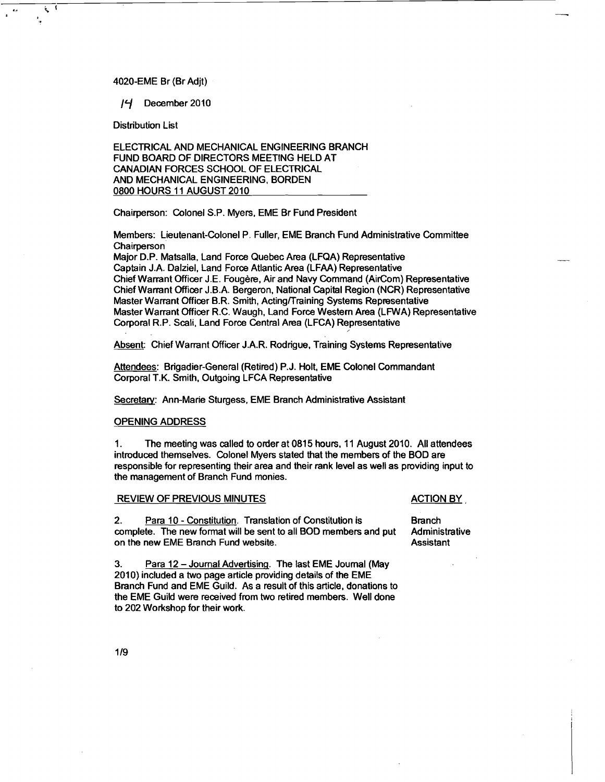## 4020-EME Br (Br Adjt)

/? December 2010

Distribution List

Ë

ELECTRICAL AND MECHANICAL ENGINEERING BRANCH FUND BOARD OF DIRECTORS MEETING HELD AT CANADIAN FORCES SCHOOL OF ELECTRICAL AND MECHANICAL ENGINEERING, BORDEN 0800 HOURS 11 AUGUST 2010

Chairperson: Colonel S.P. Myers, EME Br Fund President

Members: Lieutenant-Colonel P. Fuller, EME Branch Fund Administrative Committee **Chairperson** 

Major D.P. Matsalla, Land Force Quebec Area (LFQA) Representative Captain J.A. Dalziel, Land Force Atlantic Area (LFAA) Representative Chief Warrant Officer J.E. Fougere, Air and Navy Command (AirCom) Representative Chief Warrant Officer J.B.A. Bergeron, National Capital Region (NCR) Representative Master Warrant Officer B.R. Smith, Acting/Training Systems Representative Master Warrant Officer R.C. Waugh, Land Force Western Area (LFWA) Representative Corporal R.P. Scali, Land Force Central Area (LFCA) Representative

Absent: Chief Warrant Officer J.A.R. Rodrigue. Training Systems Representative

Attendees: Brigadier-General (Retired) P.J. Holt, EME Colonel Commandant Corporal T.K. Smith, Outgoing LFCA Representative

Secretaw: Ann-Marie Sturgess, EME Branch Administrative Assistant

## OPENING ADDRESS

1. The meeting was called to order at 0815 hours, 11 August 2010. All attendees introduced themselves. Colonel Myers stated that the members of the BOD are responsible for representing their area and their rank level as well as providing input to the management of Branch Fund monies.

# REVIEW OF PREVIOUS MINUTES ACTION BY

2. Para 10 - Constitution. Translation of Constitution is Branch complete. The new format will be sent to all BOD members and put Administrative on the new EME Branch Fund website. Assistant

**3.** Para 12 -Journal Advertising. The last EME Journal (May 2010) included a two page article providing details of the EME Branch Fund and EME Guild. As a result of this article, donations to the EME Guild were received from two retired members. Well done to 202 Workshop for their work.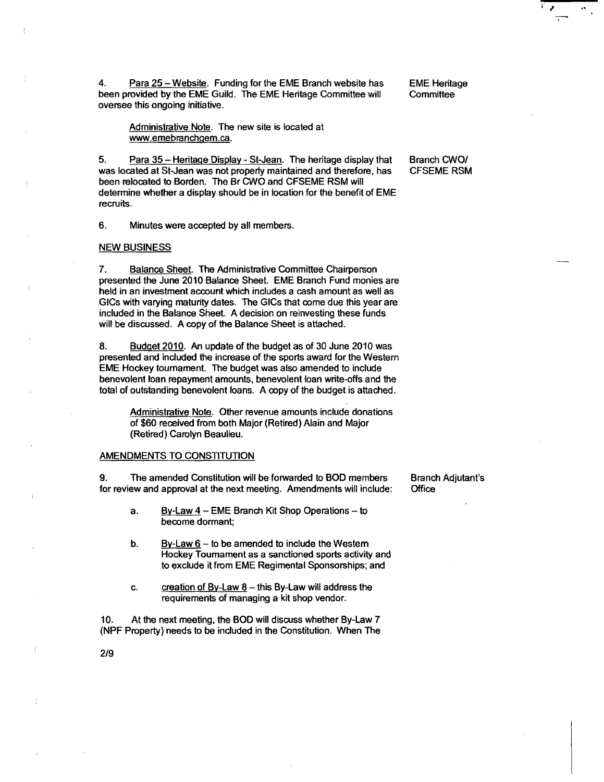4. **Para 25 - Website. Funding for the EME Branch website has CME Heritage Property Committee by the EME Guild. The EME Heritage Committee will** been provided by the EME Guild. The EME Heritage Committee will oversee this ongoing initiative.

Administrative Note. The new site is located at www.emebranchqem.ca.

5. Para 35 - Heritage Display - St-Jean. The heritage display that Branch CWO/<br>was located at St-Jean was not properly maintained and therefore, has CFSEME RSM was located at St-Jean was not properly maintained and therefore, has been relocated to Borden. The Br CWO and CFSEME RSM will determine whether a display should be in location for the benefit of EME recruits.

6. Minutes were accepted by all members.

# NEW BUSINESS

**7.** Balance Sheet. The Administrative Committee Chairperson presented the June 2010 Balance Sheet. EME Branch Fund monies are held in an investment account which includes a cash amount as well as GlCs with varying maturity dates. The GlCs that come due this year are included in the Balance Sheet. A decision on reinvesting these funds will be discussed. A copy of the Balance Sheet is attached.

**8.** Budqet 2010. An update of the budget as of 30 June 2010 was presented and included the increase of the sports award for the Western EME Hockey tournament. The budget was also amended to include benevolent loan repayment amounts, benevolent loan write-offs and the total of outstanding benevolent loans. A copy of the budget is attached.

> Administrative Note. Other revenue amounts include donations of \$60 received from both Major (Retired) Alain and Major (Retired) Carolyn Beaulieu.

# AMENDMENTS TO CONSTITUTION

9. The amended Constitution will be forwarded to BOD members Branch Adjutant's for review and approval at the next meeting. Amendments will include: Office for review and approval at the next meeting. Amendments will include:

- a. By-Law 4 EME Branch Kit Shop Operations to become dormant;
- b. By-Law  $6 -$  to be amended to include the Western Hockey Tournament as a sanctioned sports activity and to exclude it from EME Regimental Sponsorships; and
- c. creation of By-Law  $8 -$ this By-Law will address the requirements of managing a kit shop vendor.

10. At the next meeting, the BOD will discuss whether By-Law 7 (NPF Property) needs to be included in the Constitution. When The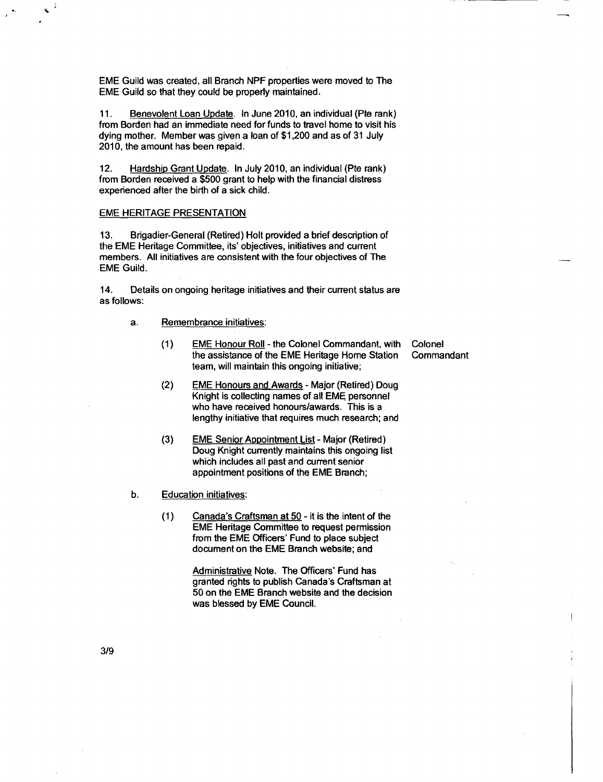EME Guild was created, all Branch NPF properties were moved to The EME Guild so that they could be properly maintained.

11. Benevolent Loan Update. In June 2010, an individual (Pte rank) from Borden had an immediate need for funds to travel home to visit his dying mother. Member was given a loan of \$1,200 and as of 31 July 2010. the amount has been repaid.

12. Hardship Grant Update. In July 2010, an individual (Pte rank) from Borden received a \$500 grant to help with the financial distress experienced after the birth of a sick child.

### EM€ HERITAGE PRESENTATION

**13.** Brigadier-General (Retired) Holt provided a brief description of the EME Heritage Committee, its' objectives, initiatives and current members. All initiatives are consistent with the four objectives of The .EME Guild.

14. Details on ongoing heritage initiatives and their current status are as follows:

- a. Remembrance initiatives:
	- (1) EME Honour Roll the Colonel Commandant, with Colonel<br>the assistance of the EME Heritage Home Station Commandant the assistance of the EME Heritage Home Station team, will maintain this ongoing initiative;
	- (2) EME Honours and Awards Major (Retired) Doug Knight is collecting names of all EME personnel who have received honours/awards. This is a lengthy initiative that requires much research; and
	- (3) EME Senior Appointment List Major (Retired) Doug Knight currently maintains this ongoing list which includes all past and current senior appointment positions of the EME Branch;
- b. Education initiatives:
	- (1) Canada's Craftsman at 50 it is the intent of the EME Heritage Committee to request permission from the EME Officers' Fund to place subject document on the EME Branch website; and

Administrative Note. The Officers' Fund has granted rights to publish Canada's Craftsman at 50 on the EME Branch website and the decision was blessed by EME Council.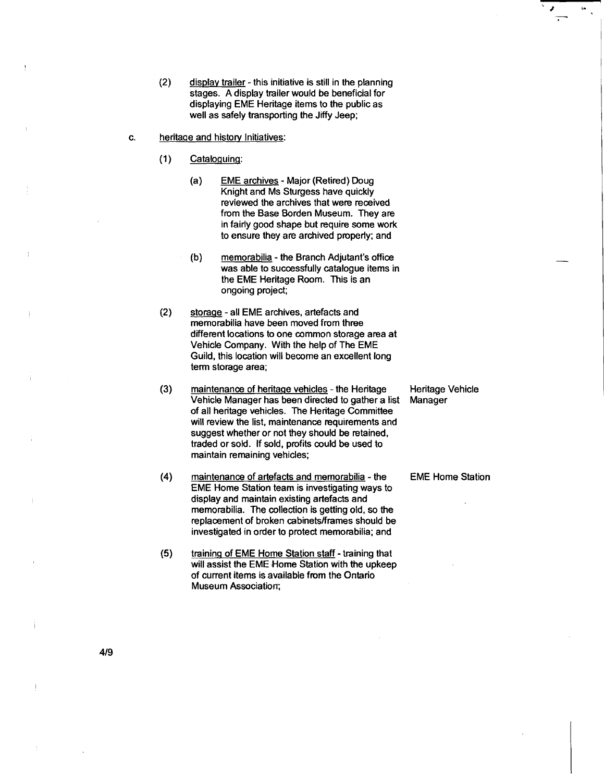- (2) display trailer this initiative is still in the planning stages. A display trailer would be beneficial for displaying EME Heritage items to the public as well as safely transporting the **Jiffy** Jeep;
- c. heritage and history Initiatives:
	- (1) Cataloquing:
		- (a) EME archives Major (Retired) Doug Knight and Ms Sturgess have quickly reviewed the archives that were received from the Base Borden Museum. They are in fairly good shape but require some work to ensure they are archived properly; and
		- (b) memorabilia the Branch Adjutant's office was able to successfully catalogue items in the EME Heritage Room. This is an ongoing project;
	- (2) storaqe all EME archives, artefacts and memorabilia have been moved from three different locations to one common storage area at Vehicle Company. With the help of The EME Guild, this location will become an excellent long term storage area;
	- (3) maintenance of heritage vehicles the Heritage Heritage Vehicle<br>Vehicle Manager has been directed to gather a list Manager Vehicle Manager has been directed to gather a list of all heritage vehicles. The Heritage Committee will review the list, maintenance requirements and suggest whether or not they should be retained. traded or sold. if sold, profits could be used to maintain remaining vehicles;
	- **(4)** maintenance of artefacts and memorabilia the EME Home Station EME Home Station team is investigating ways to display and maintain existing artefacts and memorabilia. The collection is getting old, so the replacement of broken cabinetsfirames should be investigated in order to protect memorabilia; and
	- (5) training of EME Home Station staff training that will assist the EME Home Station with the upkeep of current items is available from the Ontario Museum Association;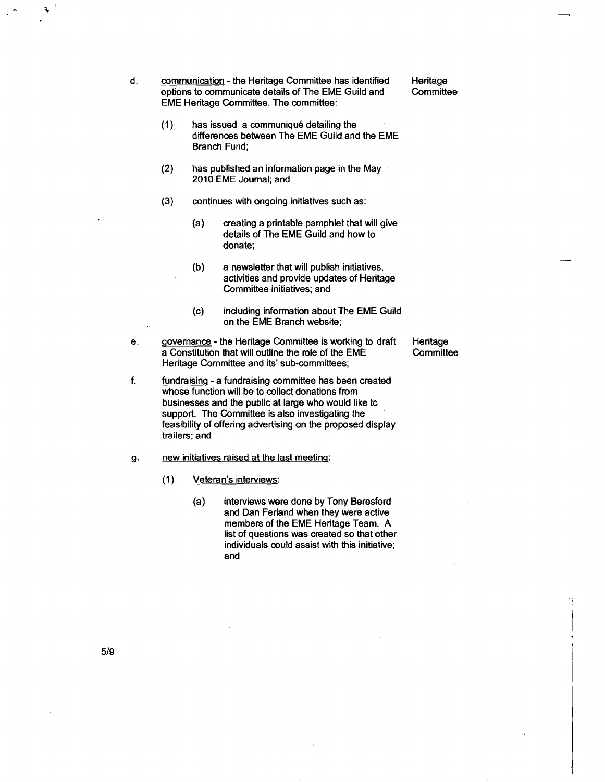- d. communication the Heritage Committee has identified Heritage<br>options to communicate details of The EME Guild and Committee options to communicate details of The EME Guild and EME Heritage Committee. The committee:
	- **(1)** has issued a communiquk detailing the differences between The EME Guild and the EME Branch Fund;
	- **(2)** has published an information page in the May 2010 EME Journal; and
	- **(3)** continues with ongoing initiatives such as:
		- (a) creating a printable pamphlet that will give details of The EME Guild and how to donate;
		- (b) a newsletter that will publish initiatives, activities and provide updates of Heritage Committee initiatives: and
		- (c) including information about The EME Guild on the EME Branch website;
- e. qovemance the Heritage Committee is working to draft Heritage a Constitution that will outline the role of the EME Committee Heritage Committee and its' sub-committees;
- f. fundraising a fundraising committee has been created whose function will be to collect donations from businesses and the public at large who would like to support. The Committee is also investigating the feasibility of offering advertising on the proposed display trailers; and

g. new initiatives raised at the last meeting:

- (1 ) Veteran's interviews:
	- (a) interviews were done by Tony Beresford and Dan Ferland when they were active members of the EME Heritage Team. A list of questions was created so that other individuals could assist with this initiative; and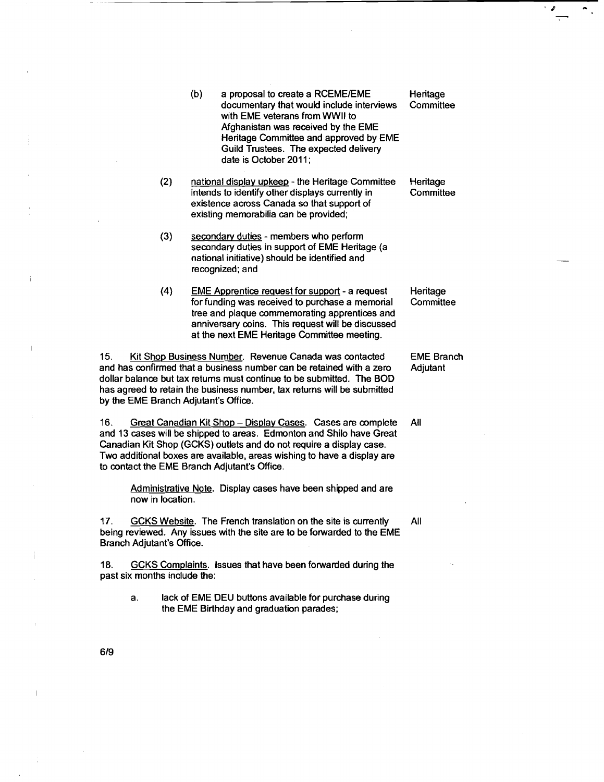- $(b)$  a proposal to create a RCEME/EME documentary that would include interviews with EME veterans from WWll to Afghanistan was received by the EME Heritage Committee and approved by EME Guild Trustees. The expected delivery date is October 2011:
- (2) national display upkeep the Heritage Committee intends to identify other displays currently in existence across Canada so that support of existing memorabilia can be provided;
- **(3)** secondaw duties members who perform secondary duties in support of EME Heritage (a national initiative) should be identified and recognized; and
- **(4)** EME Apprentice request for support a request for funding was received to purchase a memorial tree and plaque commemorating apprentices and anniversary coins. This request will be discussed at the next EME Heritage Committee meeting.

15. Kit Shop Business Number. Revenue Canada was contacted and has confirmed that a business number can be retained with a zero dollar balance but tax returns must continue to be submitted. The BOD has agreed to retain the business number, tax returns will be submitted by the EME Branch Adjutant's Office.

16. Great Canadian Kit Shop - Display Cases. Cases are complete and 13 cases will be shipped to areas. Edmonton and Shilo have Great Canadian Kit Shop (GCKS) outlets and do not require a display case. Two additional boxes are available, areas wishing to have a display are to contact the EME Branch Adjutant's Office.

> Administrative Note. Display cases have been shipped and are now in location.

17. GCKS Website. The French translation on the site is currently being reviewed. Any issues with the site are to be forwarded to the EME Branch Adjutant's Office.

18. GCKS Complaints. Issues that have been fowarded during the past six months include the:

> a. lack of EME DEU buttons available for purchase during the EME Birthday and graduation parades;

**Heritage Committee** 

Heritage **Committee** 

Heritage **Committee** 

EME Branch Adjutant

All

All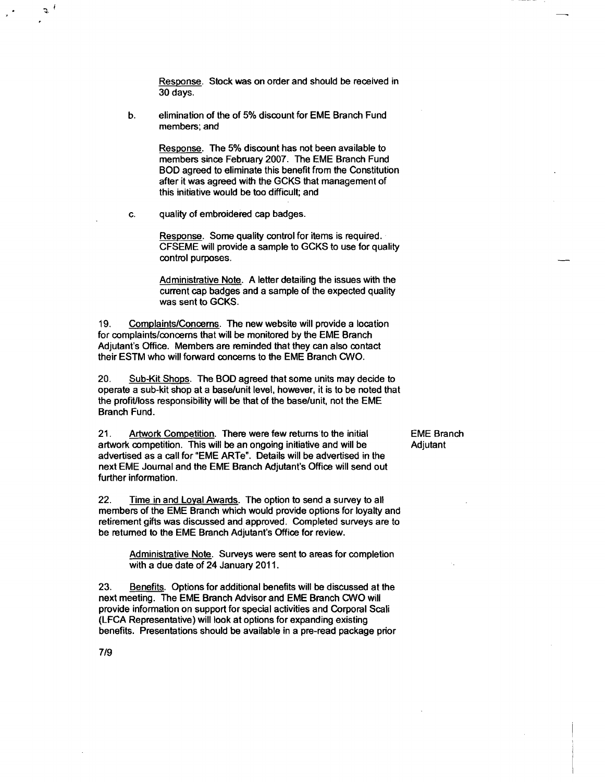Response. Stock was on order and should be received in 30 days.

b. elimination of the of 5% discount for EME Branch Fund members; and

> Response. The 5% discount has not been available to members since February 2007. The EME Branch Fund BOD agreed to eliminate this benefit from the Constitution after it was agreed with the GCKS that management of this initiative would be too difficult; and

c. quality of embroidered cap badges.

Response. Some quality control for items is required. CFSEME will provide a sample to GCKS to use for quality control purposes.

Administrative Note. A letter detailing the issues with the current cap badges and a sample of the expected quality was sent to GCKS.

19. Complaints/Concerns. The new website will provide a location for complaints/concerns that will be monitored by the EME Branch Adjutant's Office. Members are reminded that they can also contact their ESTM who will forward concerns to the EME Branch CWO.

20. Sub-Kit Shops. The BOD agreed that some units may decide to operate a sub-kit shop at a baselunit level, however, it is to be noted that the profitlloss responsibility will be that of the baselunit, not the EME Branch Fund.

21. Artwork Competition. There were few returns to the initial EME Branch<br>artwork competition. This will be an ongoing initiative and will be Adjutant artwork competition. This will be an ongoing initiative and will be advertised as a call for "EME ARTe". Details will be advertised in the next EME Journal and the EME Branch Adjutant's Office will send out further information.

22. Time in and Loyal Awards. The option to send a survey to all members of the EME Branch which would provide options for loyalty and retirement gifts was discussed and approved. Completed surveys are to be returned to the EME Branch Adjutant's Office for review.

Administrative Note. Surveys were sent to areas for completion with a due date of 24 January 2011.

23. Benefits. Options for additional benefits will be discussed at the next meeting. The EME Branch Advisor and EME Branch CWO will provide information on support for special activities and Corporal Scali (LFCA Representative) will look at options for expanding existing benefits. Presentations should be available in a pre-read package prior

 $7/9$ 

 $\sigma$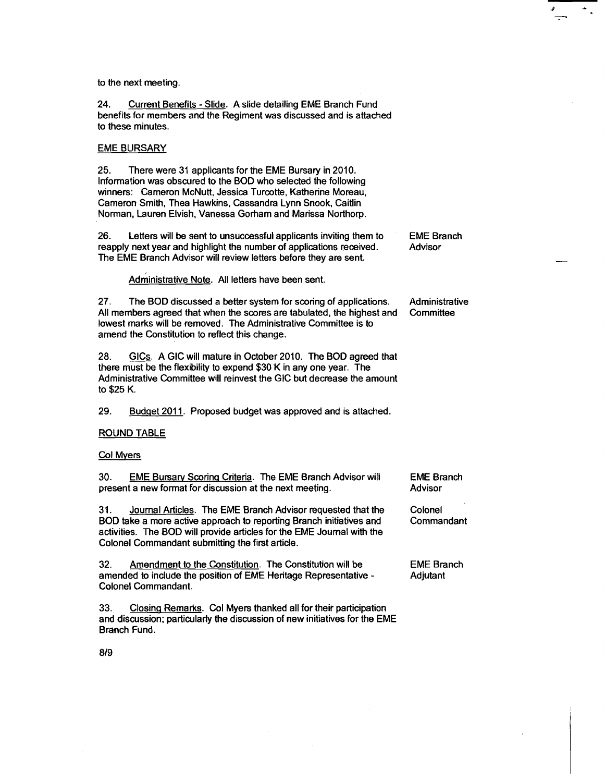to the next meeting.

**24.** Current Benefits - Slide. A slide detailing EME Branch Fund benefits for members and the Regiment was discussed and is attached to these minutes.

## EME BURSARY

25. There were 31 applicants for the EME Bursary in 2010. Information was obscured to the BOD who selected the following winners: Cameron McNutt, Jessica Turcotte, Katherine Moreau, Cameron Smith, Thea Hawkins, Cassandra Lynn Snook, Caitlin Norman, Lauren Elvish, Vanessa Gorham and Marissa Northorp.

26. Letters will be sent to unsuccessful applicants inviting them to reapply next year and highlight the number of applications received. The EME Branch Advisor will review letters before they are sent. EME Branch

Advisor

Administrative Note. All letters have been sent.

27. The BOD discussed a better system for scoring of applications. All members agreed that when the scores are tabulated, the highest and lowest marks will be removed. The Administrative Committee is to amend the Constitution to reflect this change. Administrative **Committee** 

28. GIC<sub>S</sub>. A GIC will mature in October 2010. The BOD agreed that there must be the flexibility to expend \$30 K in any one year. The Administrative Committee will reinvest the GIC but decrease the amount to \$25 K.

29. Budget 2011. Proposed budget was approved and is attached.

### ROUND TABLE

# Col Myers

| 30. | <b>EME Bursary Scoring Criteria. The EME Branch Advisor will</b> | <b>EME Bran</b> |
|-----|------------------------------------------------------------------|-----------------|
|     | present a new format for discussion at the next meeting.         | Advisor         |
|     |                                                                  |                 |

31. Journal Articles. The EME Branch Advisor requested that the BOD take a more active approach to reporting Branch initiatives and activities. The BOD will provide articles for the EME Journal with the Colonel Commandant submitting the first article.

32. Amendment to the Constitution. The Constitution will be amended to include the position of EME Heritage Representative - Colonel Commandant.

33. Closing Remarks. Col Myers thanked all for their participation and discussion; particularly the discussion of new initiatives for the EME Branch Fund.

ıch

Colonel **Commandant** 

EME Branch Adjutant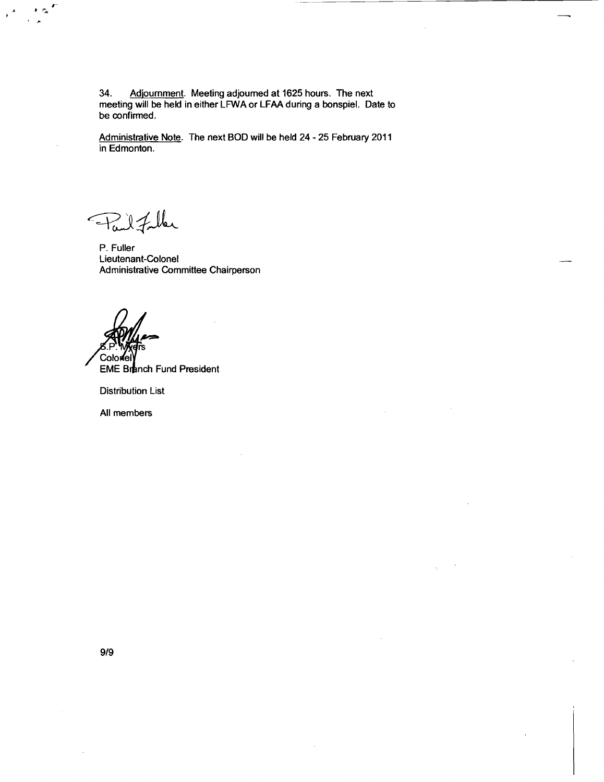**34. Adiournment. Meeting adjourned at 1625 hours. The next meeting will be held in either LFWA or LFAA during a bonspiel. Date to be confirmed.** 

Administrative Note. The next BOD will be held 24 - 25 February 2011 **in Edmonton.** 

Fail Fuller

**P. Fuller Lieutenant-Colonel Administrative Committee Chairperson** 

Coloriel

**EME Branch Fund President** 

**Distribution List** 

**All members**